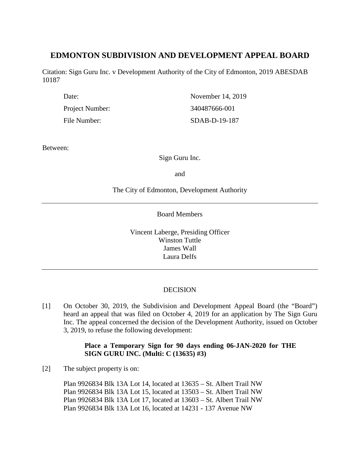# **EDMONTON SUBDIVISION AND DEVELOPMENT APPEAL BOARD**

Citation: Sign Guru Inc. v Development Authority of the City of Edmonton, 2019 ABESDAB 10187

| Date:           | November 14, 2019 |
|-----------------|-------------------|
| Project Number: | 340487666-001     |
| File Number:    | $SDAB-D-19-187$   |

Between:

Sign Guru Inc.

and

The City of Edmonton, Development Authority

Board Members

Vincent Laberge, Presiding Officer Winston Tuttle James Wall Laura Delfs

# DECISION

[1] On October 30, 2019, the Subdivision and Development Appeal Board (the "Board") heard an appeal that was filed on October 4, 2019 for an application by The Sign Guru Inc. The appeal concerned the decision of the Development Authority, issued on October 3, 2019, to refuse the following development:

# **Place a Temporary Sign for 90 days ending 06-JAN-2020 for THE SIGN GURU INC. (Multi: C (13635) #3)**

[2] The subject property is on:

Plan 9926834 Blk 13A Lot 14, located at 13635 – St. Albert Trail NW Plan 9926834 Blk 13A Lot 15, located at 13503 – St. Albert Trail NW Plan 9926834 Blk 13A Lot 17, located at 13603 – St. Albert Trail NW Plan 9926834 Blk 13A Lot 16, located at 14231 - 137 Avenue NW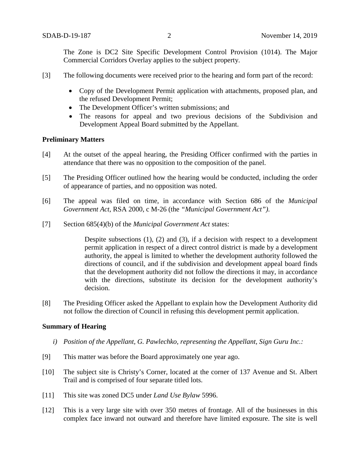The Zone is DC2 Site Specific Development Control Provision (1014). The Major Commercial Corridors Overlay applies to the subject property.

- [3] The following documents were received prior to the hearing and form part of the record:
	- Copy of the Development Permit application with attachments, proposed plan, and the refused Development Permit;
	- The Development Officer's written submissions; and
	- The reasons for appeal and two previous decisions of the Subdivision and Development Appeal Board submitted by the Appellant.

#### **Preliminary Matters**

- [4] At the outset of the appeal hearing, the Presiding Officer confirmed with the parties in attendance that there was no opposition to the composition of the panel.
- [5] The Presiding Officer outlined how the hearing would be conducted, including the order of appearance of parties, and no opposition was noted.
- [6] The appeal was filed on time, in accordance with Section 686 of the *Municipal Government Act*, RSA 2000, c M-26 (the *"Municipal Government Act")*.
- [7] Section 685(4)(b) of the *Municipal Government Act* states:

Despite subsections (1), (2) and (3), if a decision with respect to a development permit application in respect of a direct control district is made by a development authority, the appeal is limited to whether the development authority followed the directions of council, and if the subdivision and development appeal board finds that the development authority did not follow the directions it may, in accordance with the directions, substitute its decision for the development authority's decision.

[8] The Presiding Officer asked the Appellant to explain how the Development Authority did not follow the direction of Council in refusing this development permit application.

#### **Summary of Hearing**

- *i) Position of the Appellant, G. Pawlechko, representing the Appellant, Sign Guru Inc.:*
- [9] This matter was before the Board approximately one year ago.
- [10] The subject site is Christy's Corner, located at the corner of 137 Avenue and St. Albert Trail and is comprised of four separate titled lots.
- [11] This site was zoned DC5 under *Land Use Bylaw* 5996.
- [12] This is a very large site with over 350 metres of frontage. All of the businesses in this complex face inward not outward and therefore have limited exposure. The site is well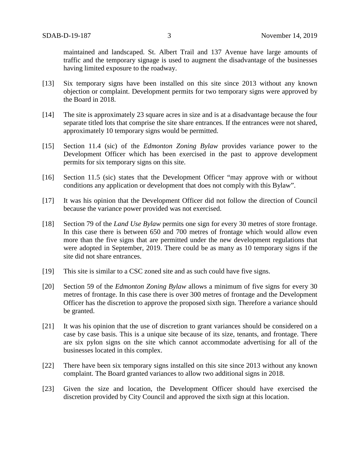maintained and landscaped. St. Albert Trail and 137 Avenue have large amounts of traffic and the temporary signage is used to augment the disadvantage of the businesses having limited exposure to the roadway.

- [13] Six temporary signs have been installed on this site since 2013 without any known objection or complaint. Development permits for two temporary signs were approved by the Board in 2018.
- [14] The site is approximately 23 square acres in size and is at a disadvantage because the four separate titled lots that comprise the site share entrances. If the entrances were not shared, approximately 10 temporary signs would be permitted.
- [15] Section 11.4 (sic) of the *Edmonton Zoning Bylaw* provides variance power to the Development Officer which has been exercised in the past to approve development permits for six temporary signs on this site.
- [16] Section 11.5 (sic) states that the Development Officer "may approve with or without conditions any application or development that does not comply with this Bylaw".
- [17] It was his opinion that the Development Officer did not follow the direction of Council because the variance power provided was not exercised.
- [18] Section 79 of the *Land Use Bylaw* permits one sign for every 30 metres of store frontage. In this case there is between 650 and 700 metres of frontage which would allow even more than the five signs that are permitted under the new development regulations that were adopted in September, 2019. There could be as many as 10 temporary signs if the site did not share entrances.
- [19] This site is similar to a CSC zoned site and as such could have five signs.
- [20] Section 59 of the *Edmonton Zoning Bylaw* allows a minimum of five signs for every 30 metres of frontage. In this case there is over 300 metres of frontage and the Development Officer has the discretion to approve the proposed sixth sign. Therefore a variance should be granted.
- [21] It was his opinion that the use of discretion to grant variances should be considered on a case by case basis. This is a unique site because of its size, tenants, and frontage. There are six pylon signs on the site which cannot accommodate advertising for all of the businesses located in this complex.
- [22] There have been six temporary signs installed on this site since 2013 without any known complaint. The Board granted variances to allow two additional signs in 2018.
- [23] Given the size and location, the Development Officer should have exercised the discretion provided by City Council and approved the sixth sign at this location.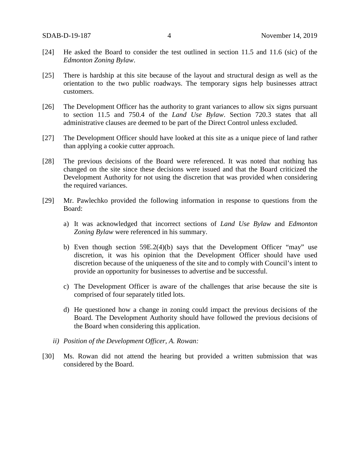- [24] He asked the Board to consider the test outlined in section 11.5 and 11.6 (sic) of the *Edmonton Zoning Bylaw*.
- [25] There is hardship at this site because of the layout and structural design as well as the orientation to the two public roadways. The temporary signs help businesses attract customers.
- [26] The Development Officer has the authority to grant variances to allow six signs pursuant to section 11.5 and 750.4 of the *Land Use Bylaw*. Section 720.3 states that all administrative clauses are deemed to be part of the Direct Control unless excluded.
- [27] The Development Officer should have looked at this site as a unique piece of land rather than applying a cookie cutter approach.
- [28] The previous decisions of the Board were referenced. It was noted that nothing has changed on the site since these decisions were issued and that the Board criticized the Development Authority for not using the discretion that was provided when considering the required variances.
- [29] Mr. Pawlechko provided the following information in response to questions from the Board:
	- a) It was acknowledged that incorrect sections of *Land Use Bylaw* and *Edmonton Zoning Bylaw* were referenced in his summary.
	- b) Even though section 59E.2(4)(b) says that the Development Officer "may" use discretion, it was his opinion that the Development Officer should have used discretion because of the uniqueness of the site and to comply with Council's intent to provide an opportunity for businesses to advertise and be successful.
	- c) The Development Officer is aware of the challenges that arise because the site is comprised of four separately titled lots.
	- d) He questioned how a change in zoning could impact the previous decisions of the Board. The Development Authority should have followed the previous decisions of the Board when considering this application.
	- *ii) Position of the Development Officer, A. Rowan:*
- [30] Ms. Rowan did not attend the hearing but provided a written submission that was considered by the Board.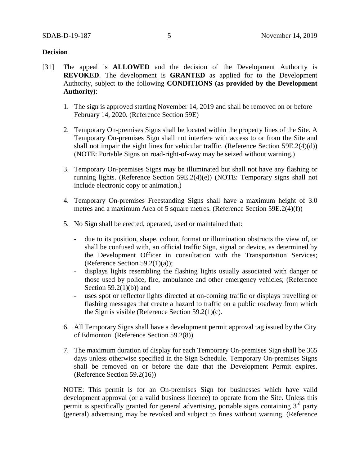## **Decision**

- [31] The appeal is **ALLOWED** and the decision of the Development Authority is **REVOKED**. The development is **GRANTED** as applied for to the Development Authority, subject to the following **CONDITIONS (as provided by the Development Authority)**:
	- 1. The sign is approved starting November 14, 2019 and shall be removed on or before February 14, 2020. (Reference Section 59E)
	- 2. Temporary On-premises Signs shall be located within the property lines of the Site. A Temporary On-premises Sign shall not interfere with access to or from the Site and shall not impair the sight lines for vehicular traffic. (Reference Section 59E.2(4)(d)) (NOTE: Portable Signs on road-right-of-way may be seized without warning.)
	- 3. Temporary On-premises Signs may be illuminated but shall not have any flashing or running lights. (Reference Section 59E.2(4)(e)) (NOTE: Temporary signs shall not include electronic copy or animation.)
	- 4. Temporary On-premises Freestanding Signs shall have a maximum height of 3.0 metres and a maximum Area of 5 square metres. (Reference Section 59E.2(4)(f))
	- 5. No Sign shall be erected, operated, used or maintained that:
		- due to its position, shape, colour, format or illumination obstructs the view of, or shall be confused with, an official traffic Sign, signal or device, as determined by the Development Officer in consultation with the Transportation Services; (Reference Section 59.2(1)(a));
		- displays lights resembling the flashing lights usually associated with danger or those used by police, fire, ambulance and other emergency vehicles; (Reference Section  $59.2(1)(b)$  and
		- uses spot or reflector lights directed at on-coming traffic or displays travelling or flashing messages that create a hazard to traffic on a public roadway from which the Sign is visible (Reference Section 59.2(1)(c).
	- 6. All Temporary Signs shall have a development permit approval tag issued by the City of Edmonton. (Reference Section 59.2(8))
	- 7. The maximum duration of display for each Temporary On-premises Sign shall be 365 days unless otherwise specified in the Sign Schedule. Temporary On-premises Signs shall be removed on or before the date that the Development Permit expires. (Reference Section 59.2(16))

NOTE: This permit is for an On-premises Sign for businesses which have valid development approval (or a valid business licence) to operate from the Site. Unless this permit is specifically granted for general advertising, portable signs containing  $3<sup>rd</sup>$  party (general) advertising may be revoked and subject to fines without warning. (Reference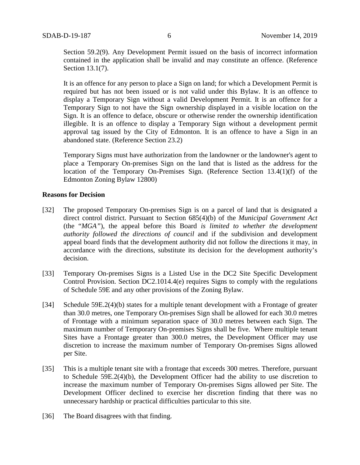Section 59.2(9). Any Development Permit issued on the basis of incorrect information contained in the application shall be invalid and may constitute an offence. (Reference Section 13.1(7).

It is an offence for any person to place a Sign on land; for which a Development Permit is required but has not been issued or is not valid under this Bylaw. It is an offence to display a Temporary Sign without a valid Development Permit. It is an offence for a Temporary Sign to not have the Sign ownership displayed in a visible location on the Sign. It is an offence to deface, obscure or otherwise render the ownership identification illegible. It is an offence to display a Temporary Sign without a development permit approval tag issued by the City of Edmonton. It is an offence to have a Sign in an abandoned state. (Reference Section 23.2)

Temporary Signs must have authorization from the landowner or the landowner's agent to place a Temporary On-premises Sign on the land that is listed as the address for the location of the Temporary On-Premises Sign. (Reference Section 13.4(1)(f) of the Edmonton Zoning Bylaw 12800)

## **Reasons for Decision**

- [32] The proposed Temporary On-premises Sign is on a parcel of land that is designated a direct control district. Pursuant to Section 685(4)(b) of the *Municipal Government Act*  (the "*MGA"*), the appeal before this Board *is limited to whether the development authority followed the directions of council* and if the subdivision and development appeal board finds that the development authority did not follow the directions it may, in accordance with the directions, substitute its decision for the development authority's decision.
- [33] Temporary On-premises Signs is a Listed Use in the DC2 Site Specific Development Control Provision. Section DC2.1014.4(e) requires Signs to comply with the regulations of Schedule 59E and any other provisions of the Zoning Bylaw.
- [34] Schedule 59E.2(4)(b) states for a multiple tenant development with a Frontage of greater than 30.0 metres, one Temporary On-premises Sign shall be allowed for each 30.0 metres of Frontage with a minimum separation space of 30.0 metres between each Sign. The maximum number of Temporary On-premises Signs shall be five. Where multiple tenant Sites have a Frontage greater than 300.0 metres, the Development Officer may use discretion to increase the maximum number of Temporary On-premises Signs allowed per Site.
- [35] This is a multiple tenant site with a frontage that exceeds 300 metres. Therefore, pursuant to Schedule 59E.2(4)(b), the Development Officer had the ability to use discretion to increase the maximum number of Temporary On-premises Signs allowed per Site. The Development Officer declined to exercise her discretion finding that there was no unnecessary hardship or practical difficulties particular to this site.
- [36] The Board disagrees with that finding.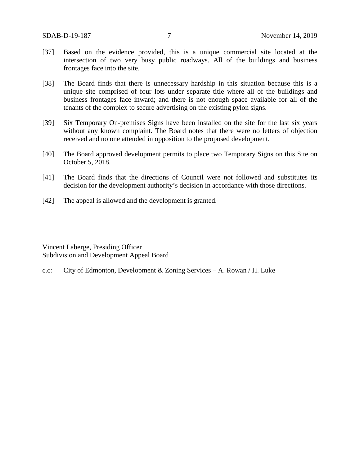- [37] Based on the evidence provided, this is a unique commercial site located at the intersection of two very busy public roadways. All of the buildings and business frontages face into the site.
- [38] The Board finds that there is unnecessary hardship in this situation because this is a unique site comprised of four lots under separate title where all of the buildings and business frontages face inward; and there is not enough space available for all of the tenants of the complex to secure advertising on the existing pylon signs.
- [39] Six Temporary On-premises Signs have been installed on the site for the last six years without any known complaint. The Board notes that there were no letters of objection received and no one attended in opposition to the proposed development.
- [40] The Board approved development permits to place two Temporary Signs on this Site on October 5, 2018.
- [41] The Board finds that the directions of Council were not followed and substitutes its decision for the development authority's decision in accordance with those directions.
- [42] The appeal is allowed and the development is granted.

Vincent Laberge, Presiding Officer Subdivision and Development Appeal Board

c.c: City of Edmonton, Development & Zoning Services – A. Rowan / H. Luke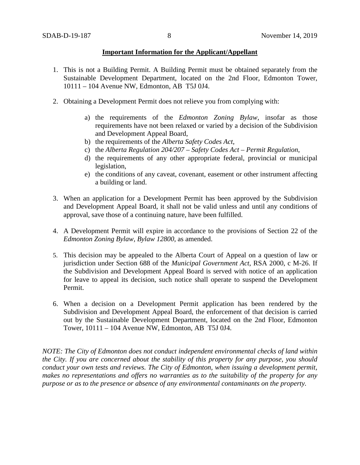### **Important Information for the Applicant/Appellant**

- 1. This is not a Building Permit. A Building Permit must be obtained separately from the Sustainable Development Department, located on the 2nd Floor, Edmonton Tower, 10111 – 104 Avenue NW, Edmonton, AB T5J 0J4.
- 2. Obtaining a Development Permit does not relieve you from complying with:
	- a) the requirements of the *Edmonton Zoning Bylaw*, insofar as those requirements have not been relaxed or varied by a decision of the Subdivision and Development Appeal Board,
	- b) the requirements of the *Alberta Safety Codes Act*,
	- c) the *Alberta Regulation 204/207 – Safety Codes Act – Permit Regulation*,
	- d) the requirements of any other appropriate federal, provincial or municipal legislation,
	- e) the conditions of any caveat, covenant, easement or other instrument affecting a building or land.
- 3. When an application for a Development Permit has been approved by the Subdivision and Development Appeal Board, it shall not be valid unless and until any conditions of approval, save those of a continuing nature, have been fulfilled.
- 4. A Development Permit will expire in accordance to the provisions of Section 22 of the *Edmonton Zoning Bylaw, Bylaw 12800*, as amended.
- 5. This decision may be appealed to the Alberta Court of Appeal on a question of law or jurisdiction under Section 688 of the *Municipal Government Act*, RSA 2000, c M-26. If the Subdivision and Development Appeal Board is served with notice of an application for leave to appeal its decision, such notice shall operate to suspend the Development Permit.
- 6. When a decision on a Development Permit application has been rendered by the Subdivision and Development Appeal Board, the enforcement of that decision is carried out by the Sustainable Development Department, located on the 2nd Floor, Edmonton Tower, 10111 – 104 Avenue NW, Edmonton, AB T5J 0J4.

*NOTE: The City of Edmonton does not conduct independent environmental checks of land within the City. If you are concerned about the stability of this property for any purpose, you should conduct your own tests and reviews. The City of Edmonton, when issuing a development permit, makes no representations and offers no warranties as to the suitability of the property for any purpose or as to the presence or absence of any environmental contaminants on the property.*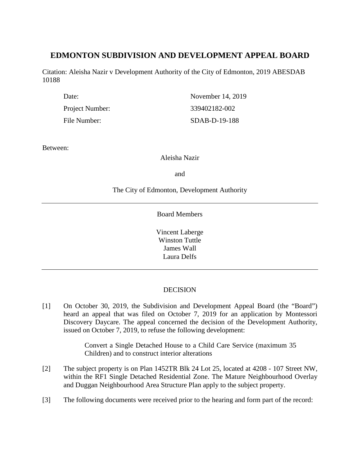# **EDMONTON SUBDIVISION AND DEVELOPMENT APPEAL BOARD**

Citation: Aleisha Nazir v Development Authority of the City of Edmonton, 2019 ABESDAB 10188

| Date:           | November 14, 2019 |
|-----------------|-------------------|
| Project Number: | 339402182-002     |
| File Number:    | SDAB-D-19-188     |

Between:

Aleisha Nazir

and

# The City of Edmonton, Development Authority

Board Members

Vincent Laberge Winston Tuttle James Wall Laura Delfs

# **DECISION**

[1] On October 30, 2019, the Subdivision and Development Appeal Board (the "Board") heard an appeal that was filed on October 7, 2019 for an application by Montessori Discovery Daycare. The appeal concerned the decision of the Development Authority, issued on October 7, 2019, to refuse the following development:

> Convert a Single Detached House to a Child Care Service (maximum 35 Children) and to construct interior alterations

- [2] The subject property is on Plan 1452TR Blk 24 Lot 25, located at 4208 107 Street NW, within the RF1 Single Detached Residential Zone. The Mature Neighbourhood Overlay and Duggan Neighbourhood Area Structure Plan apply to the subject property.
- [3] The following documents were received prior to the hearing and form part of the record: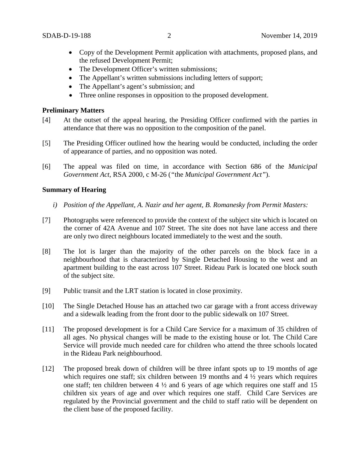- Copy of the Development Permit application with attachments, proposed plans, and the refused Development Permit;
- The Development Officer's written submissions;
- The Appellant's written submissions including letters of support;
- The Appellant's agent's submission; and
- Three online responses in opposition to the proposed development.

### **Preliminary Matters**

- [4] At the outset of the appeal hearing, the Presiding Officer confirmed with the parties in attendance that there was no opposition to the composition of the panel.
- [5] The Presiding Officer outlined how the hearing would be conducted, including the order of appearance of parties, and no opposition was noted.
- [6] The appeal was filed on time, in accordance with Section 686 of the *Municipal Government Act*, RSA 2000, c M-26 (*"*the *Municipal Government Act"*).

## **Summary of Hearing**

- *i) Position of the Appellant, A. Nazir and her agent, B. Romanesky from Permit Masters:*
- [7] Photographs were referenced to provide the context of the subject site which is located on the corner of 42A Avenue and 107 Street. The site does not have lane access and there are only two direct neighbours located immediately to the west and the south.
- [8] The lot is larger than the majority of the other parcels on the block face in a neighbourhood that is characterized by Single Detached Housing to the west and an apartment building to the east across 107 Street. Rideau Park is located one block south of the subject site.
- [9] Public transit and the LRT station is located in close proximity.
- [10] The Single Detached House has an attached two car garage with a front access driveway and a sidewalk leading from the front door to the public sidewalk on 107 Street.
- [11] The proposed development is for a Child Care Service for a maximum of 35 children of all ages. No physical changes will be made to the existing house or lot. The Child Care Service will provide much needed care for children who attend the three schools located in the Rideau Park neighbourhood.
- [12] The proposed break down of children will be three infant spots up to 19 months of age which requires one staff; six children between 19 months and  $4\frac{1}{2}$  years which requires one staff; ten children between  $4\frac{1}{2}$  and 6 years of age which requires one staff and 15 children six years of age and over which requires one staff. Child Care Services are regulated by the Provincial government and the child to staff ratio will be dependent on the client base of the proposed facility.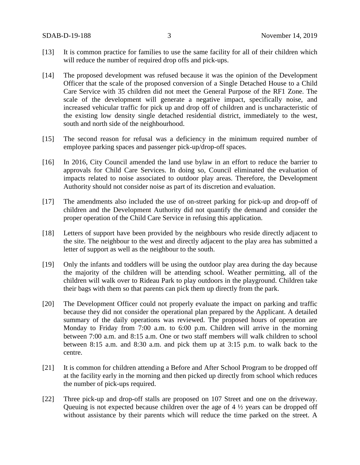- [13] It is common practice for families to use the same facility for all of their children which will reduce the number of required drop offs and pick-ups.
- [14] The proposed development was refused because it was the opinion of the Development Officer that the scale of the proposed conversion of a Single Detached House to a Child Care Service with 35 children did not meet the General Purpose of the RF1 Zone. The scale of the development will generate a negative impact, specifically noise, and increased vehicular traffic for pick up and drop off of children and is uncharacteristic of the existing low density single detached residential district, immediately to the west, south and north side of the neighbourhood.
- [15] The second reason for refusal was a deficiency in the minimum required number of employee parking spaces and passenger pick-up/drop-off spaces.
- [16] In 2016, City Council amended the land use bylaw in an effort to reduce the barrier to approvals for Child Care Services. In doing so, Council eliminated the evaluation of impacts related to noise associated to outdoor play areas. Therefore, the Development Authority should not consider noise as part of its discretion and evaluation.
- [17] The amendments also included the use of on-street parking for pick-up and drop-off of children and the Development Authority did not quantify the demand and consider the proper operation of the Child Care Service in refusing this application.
- [18] Letters of support have been provided by the neighbours who reside directly adjacent to the site. The neighbour to the west and directly adjacent to the play area has submitted a letter of support as well as the neighbour to the south.
- [19] Only the infants and toddlers will be using the outdoor play area during the day because the majority of the children will be attending school. Weather permitting, all of the children will walk over to Rideau Park to play outdoors in the playground. Children take their bags with them so that parents can pick them up directly from the park.
- [20] The Development Officer could not properly evaluate the impact on parking and traffic because they did not consider the operational plan prepared by the Applicant. A detailed summary of the daily operations was reviewed. The proposed hours of operation are Monday to Friday from 7:00 a.m. to 6:00 p.m. Children will arrive in the morning between 7:00 a.m. and 8:15 a.m. One or two staff members will walk children to school between 8:15 a.m. and 8:30 a.m. and pick them up at 3:15 p.m. to walk back to the centre.
- [21] It is common for children attending a Before and After School Program to be dropped off at the facility early in the morning and then picked up directly from school which reduces the number of pick-ups required.
- [22] Three pick-up and drop-off stalls are proposed on 107 Street and one on the driveway. Queuing is not expected because children over the age of 4 ½ years can be dropped off without assistance by their parents which will reduce the time parked on the street. A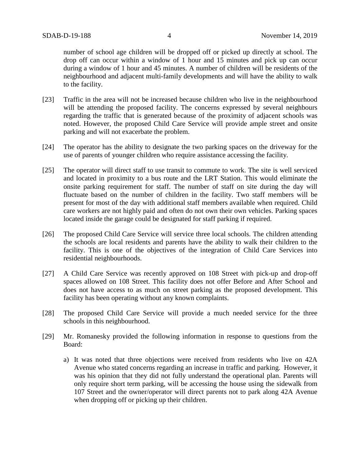number of school age children will be dropped off or picked up directly at school. The drop off can occur within a window of 1 hour and 15 minutes and pick up can occur during a window of 1 hour and 45 minutes. A number of children will be residents of the neighbourhood and adjacent multi-family developments and will have the ability to walk to the facility.

- [23] Traffic in the area will not be increased because children who live in the neighbourhood will be attending the proposed facility. The concerns expressed by several neighbours regarding the traffic that is generated because of the proximity of adjacent schools was noted. However, the proposed Child Care Service will provide ample street and onsite parking and will not exacerbate the problem.
- [24] The operator has the ability to designate the two parking spaces on the driveway for the use of parents of younger children who require assistance accessing the facility.
- [25] The operator will direct staff to use transit to commute to work. The site is well serviced and located in proximity to a bus route and the LRT Station. This would eliminate the onsite parking requirement for staff. The number of staff on site during the day will fluctuate based on the number of children in the facility. Two staff members will be present for most of the day with additional staff members available when required. Child care workers are not highly paid and often do not own their own vehicles. Parking spaces located inside the garage could be designated for staff parking if required.
- [26] The proposed Child Care Service will service three local schools. The children attending the schools are local residents and parents have the ability to walk their children to the facility. This is one of the objectives of the integration of Child Care Services into residential neighbourhoods.
- [27] A Child Care Service was recently approved on 108 Street with pick-up and drop-off spaces allowed on 108 Street. This facility does not offer Before and After School and does not have access to as much on street parking as the proposed development. This facility has been operating without any known complaints.
- [28] The proposed Child Care Service will provide a much needed service for the three schools in this neighbourhood.
- [29] Mr. Romanesky provided the following information in response to questions from the Board:
	- a) It was noted that three objections were received from residents who live on 42A Avenue who stated concerns regarding an increase in traffic and parking. However, it was his opinion that they did not fully understand the operational plan. Parents will only require short term parking, will be accessing the house using the sidewalk from 107 Street and the owner/operator will direct parents not to park along 42A Avenue when dropping off or picking up their children.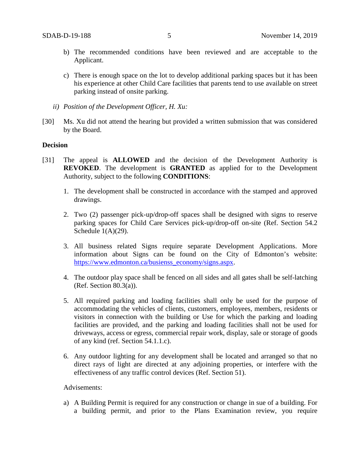- b) The recommended conditions have been reviewed and are acceptable to the Applicant.
- c) There is enough space on the lot to develop additional parking spaces but it has been his experience at other Child Care facilities that parents tend to use available on street parking instead of onsite parking.
- *ii) Position of the Development Officer, H. Xu:*
- [30] Ms. Xu did not attend the hearing but provided a written submission that was considered by the Board.

#### **Decision**

- [31] The appeal is **ALLOWED** and the decision of the Development Authority is **REVOKED**. The development is **GRANTED** as applied for to the Development Authority, subject to the following **CONDITIONS**:
	- 1. The development shall be constructed in accordance with the stamped and approved drawings.
	- 2. Two (2) passenger pick-up/drop-off spaces shall be designed with signs to reserve parking spaces for Child Care Services pick-up/drop-off on-site (Ref. Section 54.2 Schedule  $1(A)(29)$ .
	- 3. All business related Signs require separate Development Applications. More information about Signs can be found on the City of Edmonton's website: [https://www.edmonton.ca/busienss\\_economy/signs.aspx.](https://www.edmonton.ca/busienss_economy/signs.aspx)
	- 4. The outdoor play space shall be fenced on all sides and all gates shall be self-latching (Ref. Section 80.3(a)).
	- 5. All required parking and loading facilities shall only be used for the purpose of accommodating the vehicles of clients, customers, employees, members, residents or visitors in connection with the building or Use for which the parking and loading facilities are provided, and the parking and loading facilities shall not be used for driveways, access or egress, commercial repair work, display, sale or storage of goods of any kind (ref. Section 54.1.1.c).
	- 6. Any outdoor lighting for any development shall be located and arranged so that no direct rays of light are directed at any adjoining properties, or interfere with the effectiveness of any traffic control devices (Ref. Section 51).

## Advisements:

a) A Building Permit is required for any construction or change in sue of a building. For a building permit, and prior to the Plans Examination review, you require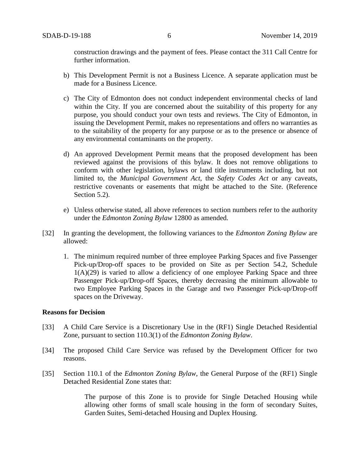construction drawings and the payment of fees. Please contact the 311 Call Centre for further information.

- b) This Development Permit is not a Business Licence. A separate application must be made for a Business Licence.
- c) The City of Edmonton does not conduct independent environmental checks of land within the City. If you are concerned about the suitability of this property for any purpose, you should conduct your own tests and reviews. The City of Edmonton, in issuing the Development Permit, makes no representations and offers no warranties as to the suitability of the property for any purpose or as to the presence or absence of any environmental contaminants on the property.
- d) An approved Development Permit means that the proposed development has been reviewed against the provisions of this bylaw. It does not remove obligations to conform with other legislation, bylaws or land title instruments including, but not limited to, the *Municipal Government Act*, the *Safety Codes Act* or any caveats, restrictive covenants or easements that might be attached to the Site. (Reference Section 5.2).
- e) Unless otherwise stated, all above references to section numbers refer to the authority under the *Edmonton Zoning Bylaw* 12800 as amended.
- [32] In granting the development, the following variances to the *Edmonton Zoning Bylaw* are allowed:
	- 1. The minimum required number of three employee Parking Spaces and five Passenger Pick-up/Drop-off spaces to be provided on Site as per Section 54.2, Schedule  $1(A)(29)$  is varied to allow a deficiency of one employee Parking Space and three Passenger Pick-up/Drop-off Spaces, thereby decreasing the minimum allowable to two Employee Parking Spaces in the Garage and two Passenger Pick-up/Drop-off spaces on the Driveway.

#### **Reasons for Decision**

- [33] A Child Care Service is a Discretionary Use in the (RF1) Single Detached Residential Zone, pursuant to section 110.3(1) of the *Edmonton Zoning Bylaw*.
- [34] The proposed Child Care Service was refused by the Development Officer for two reasons.
- [35] Section 110.1 of the *Edmonton Zoning Bylaw*, the General Purpose of the (RF1) Single Detached Residential Zone states that:

The purpose of this Zone is to provide for Single Detached Housing while allowing other forms of small scale housing in the form of secondary Suites, Garden Suites, Semi-detached Housing and Duplex Housing.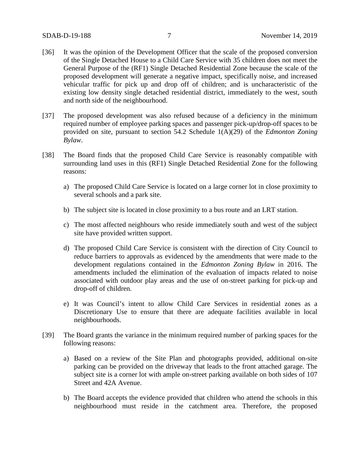- [36] It was the opinion of the Development Officer that the scale of the proposed conversion of the Single Detached House to a Child Care Service with 35 children does not meet the General Purpose of the (RF1) Single Detached Residential Zone because the scale of the proposed development will generate a negative impact, specifically noise, and increased vehicular traffic for pick up and drop off of children; and is uncharacteristic of the existing low density single detached residential district, immediately to the west, south and north side of the neighbourhood.
- [37] The proposed development was also refused because of a deficiency in the minimum required number of employee parking spaces and passenger pick-up/drop-off spaces to be provided on site, pursuant to section 54.2 Schedule 1(A)(29) of the *Edmonton Zoning Bylaw*.
- [38] The Board finds that the proposed Child Care Service is reasonably compatible with surrounding land uses in this (RF1) Single Detached Residential Zone for the following reasons:
	- a) The proposed Child Care Service is located on a large corner lot in close proximity to several schools and a park site.
	- b) The subject site is located in close proximity to a bus route and an LRT station.
	- c) The most affected neighbours who reside immediately south and west of the subject site have provided written support.
	- d) The proposed Child Care Service is consistent with the direction of City Council to reduce barriers to approvals as evidenced by the amendments that were made to the development regulations contained in the *Edmonton Zoning Bylaw* in 2016. The amendments included the elimination of the evaluation of impacts related to noise associated with outdoor play areas and the use of on-street parking for pick-up and drop-off of children.
	- e) It was Council's intent to allow Child Care Services in residential zones as a Discretionary Use to ensure that there are adequate facilities available in local neighbourhoods.
- [39] The Board grants the variance in the minimum required number of parking spaces for the following reasons:
	- a) Based on a review of the Site Plan and photographs provided, additional on-site parking can be provided on the driveway that leads to the front attached garage. The subject site is a corner lot with ample on-street parking available on both sides of 107 Street and 42A Avenue.
	- b) The Board accepts the evidence provided that children who attend the schools in this neighbourhood must reside in the catchment area. Therefore, the proposed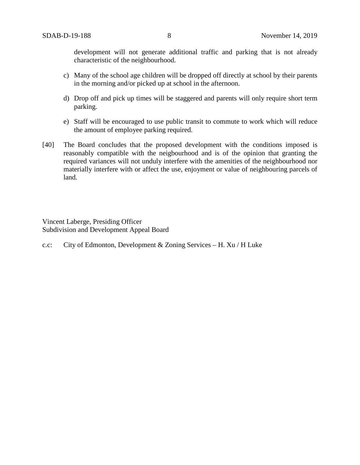development will not generate additional traffic and parking that is not already characteristic of the neighbourhood.

- c) Many of the school age children will be dropped off directly at school by their parents in the morning and/or picked up at school in the afternoon.
- d) Drop off and pick up times will be staggered and parents will only require short term parking.
- e) Staff will be encouraged to use public transit to commute to work which will reduce the amount of employee parking required.
- [40] The Board concludes that the proposed development with the conditions imposed is reasonably compatible with the neigbourhood and is of the opinion that granting the required variances will not unduly interfere with the amenities of the neighbourhood nor materially interfere with or affect the use, enjoyment or value of neighbouring parcels of land.

Vincent Laberge, Presiding Officer Subdivision and Development Appeal Board

c.c: City of Edmonton, Development & Zoning Services – H. Xu / H Luke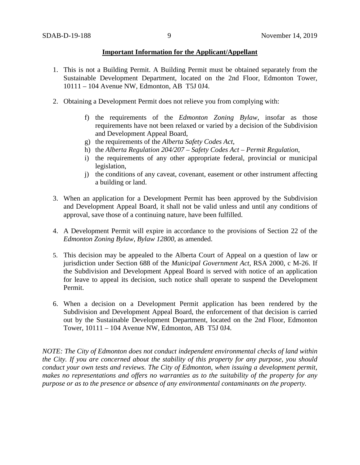#### **Important Information for the Applicant/Appellant**

- 1. This is not a Building Permit. A Building Permit must be obtained separately from the Sustainable Development Department, located on the 2nd Floor, Edmonton Tower, 10111 – 104 Avenue NW, Edmonton, AB T5J 0J4.
- 2. Obtaining a Development Permit does not relieve you from complying with:
	- f) the requirements of the *Edmonton Zoning Bylaw*, insofar as those requirements have not been relaxed or varied by a decision of the Subdivision and Development Appeal Board,
	- g) the requirements of the *Alberta Safety Codes Act*,
	- h) the *Alberta Regulation 204/207 – Safety Codes Act – Permit Regulation*,
	- i) the requirements of any other appropriate federal, provincial or municipal legislation,
	- j) the conditions of any caveat, covenant, easement or other instrument affecting a building or land.
- 3. When an application for a Development Permit has been approved by the Subdivision and Development Appeal Board, it shall not be valid unless and until any conditions of approval, save those of a continuing nature, have been fulfilled.
- 4. A Development Permit will expire in accordance to the provisions of Section 22 of the *Edmonton Zoning Bylaw, Bylaw 12800*, as amended.
- 5. This decision may be appealed to the Alberta Court of Appeal on a question of law or jurisdiction under Section 688 of the *Municipal Government Act*, RSA 2000, c M-26. If the Subdivision and Development Appeal Board is served with notice of an application for leave to appeal its decision, such notice shall operate to suspend the Development Permit.
- 6. When a decision on a Development Permit application has been rendered by the Subdivision and Development Appeal Board, the enforcement of that decision is carried out by the Sustainable Development Department, located on the 2nd Floor, Edmonton Tower, 10111 – 104 Avenue NW, Edmonton, AB T5J 0J4.

*NOTE: The City of Edmonton does not conduct independent environmental checks of land within the City. If you are concerned about the stability of this property for any purpose, you should conduct your own tests and reviews. The City of Edmonton, when issuing a development permit, makes no representations and offers no warranties as to the suitability of the property for any purpose or as to the presence or absence of any environmental contaminants on the property.*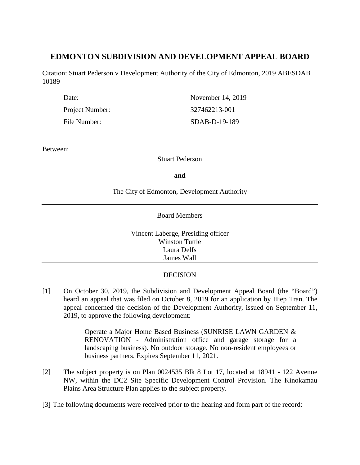# **EDMONTON SUBDIVISION AND DEVELOPMENT APPEAL BOARD**

Citation: Stuart Pederson v Development Authority of the City of Edmonton, 2019 ABESDAB 10189

| Date:           | November 14, 2019 |
|-----------------|-------------------|
| Project Number: | 327462213-001     |
| File Number:    | $SDAB-D-19-189$   |

Between:

Stuart Pederson

**and**

The City of Edmonton, Development Authority

## Board Members

Vincent Laberge, Presiding officer Winston Tuttle Laura Delfs James Wall

# **DECISION**

[1] On October 30, 2019, the Subdivision and Development Appeal Board (the "Board") heard an appeal that was filed on October 8, 2019 for an application by Hiep Tran. The appeal concerned the decision of the Development Authority, issued on September 11, 2019, to approve the following development:

> Operate a Major Home Based Business (SUNRISE LAWN GARDEN & RENOVATION - Administration office and garage storage for a landscaping business). No outdoor storage. No non-resident employees or business partners. Expires September 11, 2021.

- [2] The subject property is on Plan 0024535 Blk 8 Lot 17, located at 18941 122 Avenue NW, within the DC2 Site Specific Development Control Provision. The Kinokamau Plains Area Structure Plan applies to the subject property.
- [3] The following documents were received prior to the hearing and form part of the record: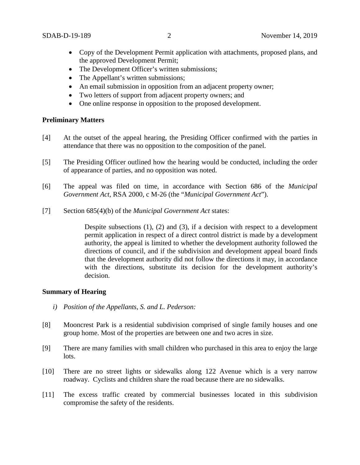- Copy of the Development Permit application with attachments, proposed plans, and the approved Development Permit;
- The Development Officer's written submissions;
- The Appellant's written submissions;
- An email submission in opposition from an adjacent property owner;
- Two letters of support from adjacent property owners; and
- One online response in opposition to the proposed development.

## **Preliminary Matters**

- [4] At the outset of the appeal hearing, the Presiding Officer confirmed with the parties in attendance that there was no opposition to the composition of the panel.
- [5] The Presiding Officer outlined how the hearing would be conducted, including the order of appearance of parties, and no opposition was noted.
- [6] The appeal was filed on time, in accordance with Section 686 of the *Municipal Government Act*, RSA 2000, c M-26 (the "*Municipal Government Act*").
- [7] Section 685(4)(b) of the *Municipal Government Act* states:

Despite subsections (1), (2) and (3), if a decision with respect to a development permit application in respect of a direct control district is made by a development authority, the appeal is limited to whether the development authority followed the directions of council, and if the subdivision and development appeal board finds that the development authority did not follow the directions it may, in accordance with the directions, substitute its decision for the development authority's decision.

## **Summary of Hearing**

- *i) Position of the Appellants, S. and L. Pederson:*
- [8] Mooncrest Park is a residential subdivision comprised of single family houses and one group home. Most of the properties are between one and two acres in size.
- [9] There are many families with small children who purchased in this area to enjoy the large lots.
- [10] There are no street lights or sidewalks along 122 Avenue which is a very narrow roadway. Cyclists and children share the road because there are no sidewalks.
- [11] The excess traffic created by commercial businesses located in this subdivision compromise the safety of the residents.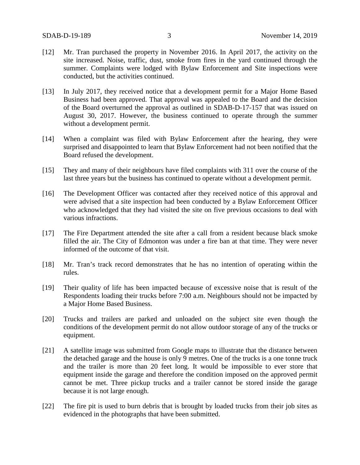- [12] Mr. Tran purchased the property in November 2016. In April 2017, the activity on the site increased. Noise, traffic, dust, smoke from fires in the yard continued through the summer. Complaints were lodged with Bylaw Enforcement and Site inspections were conducted, but the activities continued.
- [13] In July 2017, they received notice that a development permit for a Major Home Based Business had been approved. That approval was appealed to the Board and the decision of the Board overturned the approval as outlined in SDAB-D-17-157 that was issued on August 30, 2017. However, the business continued to operate through the summer without a development permit.
- [14] When a complaint was filed with Bylaw Enforcement after the hearing, they were surprised and disappointed to learn that Bylaw Enforcement had not been notified that the Board refused the development.
- [15] They and many of their neighbours have filed complaints with 311 over the course of the last three years but the business has continued to operate without a development permit.
- [16] The Development Officer was contacted after they received notice of this approval and were advised that a site inspection had been conducted by a Bylaw Enforcement Officer who acknowledged that they had visited the site on five previous occasions to deal with various infractions.
- [17] The Fire Department attended the site after a call from a resident because black smoke filled the air. The City of Edmonton was under a fire ban at that time. They were never informed of the outcome of that visit.
- [18] Mr. Tran's track record demonstrates that he has no intention of operating within the rules.
- [19] Their quality of life has been impacted because of excessive noise that is result of the Respondents loading their trucks before 7:00 a.m. Neighbours should not be impacted by a Major Home Based Business.
- [20] Trucks and trailers are parked and unloaded on the subject site even though the conditions of the development permit do not allow outdoor storage of any of the trucks or equipment.
- [21] A satellite image was submitted from Google maps to illustrate that the distance between the detached garage and the house is only 9 metres. One of the trucks is a one tonne truck and the trailer is more than 20 feet long. It would be impossible to ever store that equipment inside the garage and therefore the condition imposed on the approved permit cannot be met. Three pickup trucks and a trailer cannot be stored inside the garage because it is not large enough.
- [22] The fire pit is used to burn debris that is brought by loaded trucks from their job sites as evidenced in the photographs that have been submitted.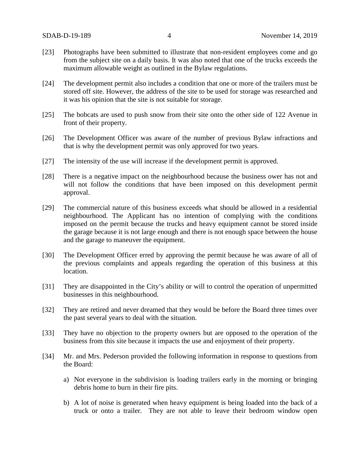- [23] Photographs have been submitted to illustrate that non-resident employees come and go from the subject site on a daily basis. It was also noted that one of the trucks exceeds the maximum allowable weight as outlined in the Bylaw regulations.
- [24] The development permit also includes a condition that one or more of the trailers must be stored off site. However, the address of the site to be used for storage was researched and it was his opinion that the site is not suitable for storage.
- [25] The bobcats are used to push snow from their site onto the other side of 122 Avenue in front of their property.
- [26] The Development Officer was aware of the number of previous Bylaw infractions and that is why the development permit was only approved for two years.
- [27] The intensity of the use will increase if the development permit is approved.
- [28] There is a negative impact on the neighbourhood because the business ower has not and will not follow the conditions that have been imposed on this development permit approval.
- [29] The commercial nature of this business exceeds what should be allowed in a residential neighbourhood. The Applicant has no intention of complying with the conditions imposed on the permit because the trucks and heavy equipment cannot be stored inside the garage because it is not large enough and there is not enough space between the house and the garage to maneuver the equipment.
- [30] The Development Officer erred by approving the permit because he was aware of all of the previous complaints and appeals regarding the operation of this business at this location.
- [31] They are disappointed in the City's ability or will to control the operation of unpermitted businesses in this neighbourhood.
- [32] They are retired and never dreamed that they would be before the Board three times over the past several years to deal with the situation.
- [33] They have no objection to the property owners but are opposed to the operation of the business from this site because it impacts the use and enjoyment of their property.
- [34] Mr. and Mrs. Pederson provided the following information in response to questions from the Board:
	- a) Not everyone in the subdivision is loading trailers early in the morning or bringing debris home to burn in their fire pits.
	- b) A lot of noise is generated when heavy equipment is being loaded into the back of a truck or onto a trailer. They are not able to leave their bedroom window open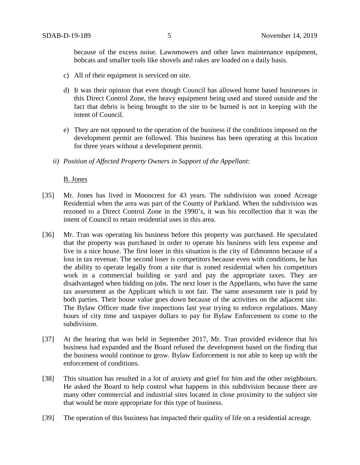because of the excess noise. Lawnmowers and other lawn maintenance equipment, bobcats and smaller tools like shovels and rakes are loaded on a daily basis.

- c) All of their equipment is serviced on site.
- d) It was their opinion that even though Council has allowed home based businesses in this Direct Control Zone, the heavy equipment being used and stored outside and the fact that debris is being brought to the site to be burned is not in keeping with the intent of Council.
- e) They are not opposed to the operation of the business if the conditions imposed on the development permit are followed. This business has been operating at this location for three years without a development permit.
- *ii) Position of Affected Property Owners in Support of the Appellant:*

#### B. Jones

- [35] Mr. Jones has lived in Mooncrest for 43 years. The subdivision was zoned Acreage Residential when the area was part of the County of Parkland. When the subdivision was rezoned to a Direct Control Zone in the 1990's, it was his recollection that it was the intent of Council to retain residential uses in this area.
- [36] Mr. Tran was operating his business before this property was purchased. He speculated that the property was purchased in order to operate his business with less expense and live in a nice house. The first loser in this situation is the city of Edmonton because of a loss in tax revenue. The second loser is competitors because even with conditions, he has the ability to operate legally from a site that is zoned residential when his competitors work in a commercial building or yard and pay the appropriate taxes. They are disadvantaged when bidding on jobs. The next loser is the Appellants, who have the same tax assessment as the Applicant which is not fair. The same assessment rate is paid by both parties. Their house value goes down because of the activities on the adjacent site. The Bylaw Officer made five inspections last year trying to enforce regulations. Many hours of city time and taxpayer dollars to pay for Bylaw Enforcement to come to the subdivision.
- [37] At the hearing that was held in September 2017, Mr. Tran provided evidence that his business had expanded and the Board refused the development based on the finding that the business would continue to grow. Bylaw Enforcement is not able to keep up with the enforcement of conditions.
- [38] This situation has resulted in a lot of anxiety and grief for him and the other neighbours. He asked the Board to help control what happens in this subdivision because there are many other commercial and industrial sites located in close proximity to the subject site that would be more appropriate for this type of business.
- [39] The operation of this business has impacted their quality of life on a residential acreage.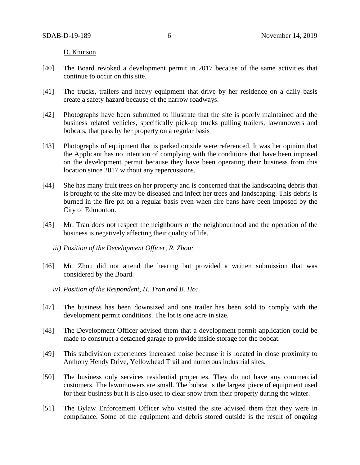D. Knutson

- [40] The Board revoked a development permit in 2017 because of the same activities that continue to occur on this site.
- [41] The trucks, trailers and heavy equipment that drive by her residence on a daily basis create a safety hazard because of the narrow roadways.
- [42] Photographs have been submitted to illustrate that the site is poorly maintained and the business related vehicles, specifically pick-up trucks pulling trailers, lawnmowers and bobcats, that pass by her property on a regular basis
- [43] Photographs of equipment that is parked outside were referenced. It was her opinion that the Applicant has no intention of complying with the conditions that have been imposed on the development permit because they have been operating their business from this location since 2017 without any repercussions.
- [44] She has many fruit trees on her property and is concerned that the landscaping debris that is brought to the site may be diseased and infect her trees and landscaping. This debris is burned in the fire pit on a regular basis even when fire bans have been imposed by the City of Edmonton.
- [45] Mr. Tran does not respect the neighbours or the neighbourhood and the operation of the business is negatively affecting their quality of life.
	- *iii) Position of the Development Officer, R. Zhou:*
- [46] Mr. Zhou did not attend the hearing but provided a written submission that was considered by the Board.
	- *iv) Position of the Respondent, H. Tran and B. Ho:*
- [47] The business has been downsized and one trailer has been sold to comply with the development permit conditions. The lot is one acre in size.
- [48] The Development Officer advised them that a development permit application could be made to construct a detached garage to provide inside storage for the bobcat.
- [49] This subdivision experiences increased noise because it is located in close proximity to Anthony Hendy Drive, Yellowhead Trail and numerous industrial sites.
- [50] The business only services residential properties. They do not have any commercial customers. The lawnmowers are small. The bobcat is the largest piece of equipment used for their business but it is also used to clear snow from their property during the winter.
- [51] The Bylaw Enforcement Officer who visited the site advised them that they were in compliance. Some of the equipment and debris stored outside is the result of ongoing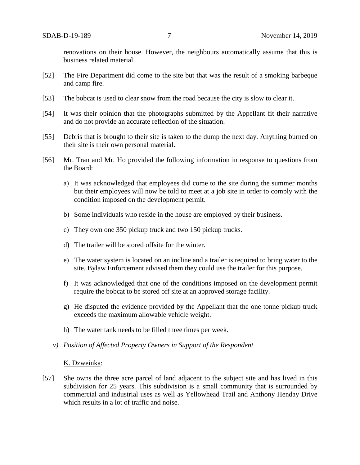renovations on their house. However, the neighbours automatically assume that this is business related material.

- [52] The Fire Department did come to the site but that was the result of a smoking barbeque and camp fire.
- [53] The bobcat is used to clear snow from the road because the city is slow to clear it.
- [54] It was their opinion that the photographs submitted by the Appellant fit their narrative and do not provide an accurate reflection of the situation.
- [55] Debris that is brought to their site is taken to the dump the next day. Anything burned on their site is their own personal material.
- [56] Mr. Tran and Mr. Ho provided the following information in response to questions from the Board:
	- a) It was acknowledged that employees did come to the site during the summer months but their employees will now be told to meet at a job site in order to comply with the condition imposed on the development permit.
	- b) Some individuals who reside in the house are employed by their business.
	- c) They own one 350 pickup truck and two 150 pickup trucks.
	- d) The trailer will be stored offsite for the winter.
	- e) The water system is located on an incline and a trailer is required to bring water to the site. Bylaw Enforcement advised them they could use the trailer for this purpose.
	- f) It was acknowledged that one of the conditions imposed on the development permit require the bobcat to be stored off site at an approved storage facility.
	- g) He disputed the evidence provided by the Appellant that the one tonne pickup truck exceeds the maximum allowable vehicle weight.
	- h) The water tank needs to be filled three times per week.
	- *v) Position of Affected Property Owners in Support of the Respondent*

#### K. Dzweinka:

[57] She owns the three acre parcel of land adjacent to the subject site and has lived in this subdivision for 25 years. This subdivision is a small community that is surrounded by commercial and industrial uses as well as Yellowhead Trail and Anthony Henday Drive which results in a lot of traffic and noise.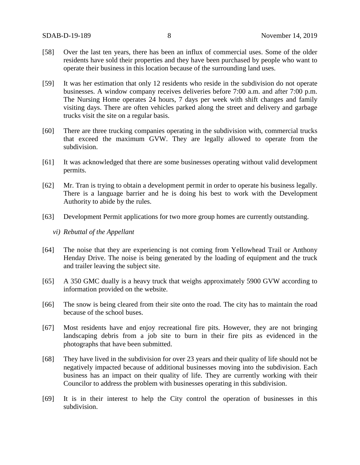- [58] Over the last ten years, there has been an influx of commercial uses. Some of the older residents have sold their properties and they have been purchased by people who want to operate their business in this location because of the surrounding land uses.
- [59] It was her estimation that only 12 residents who reside in the subdivision do not operate businesses. A window company receives deliveries before 7:00 a.m. and after 7:00 p.m. The Nursing Home operates 24 hours, 7 days per week with shift changes and family visiting days. There are often vehicles parked along the street and delivery and garbage trucks visit the site on a regular basis.
- [60] There are three trucking companies operating in the subdivision with, commercial trucks that exceed the maximum GVW. They are legally allowed to operate from the subdivision.
- [61] It was acknowledged that there are some businesses operating without valid development permits.
- [62] Mr. Tran is trying to obtain a development permit in order to operate his business legally. There is a language barrier and he is doing his best to work with the Development Authority to abide by the rules.
- [63] Development Permit applications for two more group homes are currently outstanding.
	- *vi) Rebuttal of the Appellant*
- [64] The noise that they are experiencing is not coming from Yellowhead Trail or Anthony Henday Drive. The noise is being generated by the loading of equipment and the truck and trailer leaving the subject site.
- [65] A 350 GMC dually is a heavy truck that weighs approximately 5900 GVW according to information provided on the website.
- [66] The snow is being cleared from their site onto the road. The city has to maintain the road because of the school buses.
- [67] Most residents have and enjoy recreational fire pits. However, they are not bringing landscaping debris from a job site to burn in their fire pits as evidenced in the photographs that have been submitted.
- [68] They have lived in the subdivision for over 23 years and their quality of life should not be negatively impacted because of additional businesses moving into the subdivision. Each business has an impact on their quality of life. They are currently working with their Councilor to address the problem with businesses operating in this subdivision.
- [69] It is in their interest to help the City control the operation of businesses in this subdivision.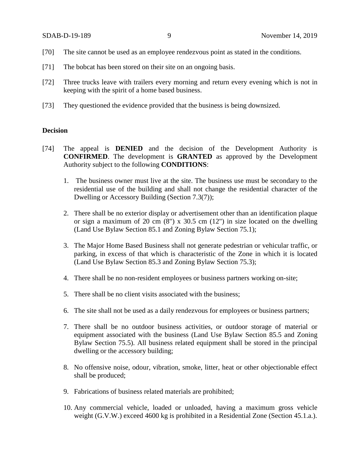- [70] The site cannot be used as an employee rendezvous point as stated in the conditions.
- [71] The bobcat has been stored on their site on an ongoing basis.
- [72] Three trucks leave with trailers every morning and return every evening which is not in keeping with the spirit of a home based business.
- [73] They questioned the evidence provided that the business is being downsized.

## **Decision**

- [74] The appeal is **DENIED** and the decision of the Development Authority is **CONFIRMED**. The development is **GRANTED** as approved by the Development Authority subject to the following **CONDITIONS**:
	- 1. The business owner must live at the site. The business use must be secondary to the residential use of the building and shall not change the residential character of the Dwelling or Accessory Building (Section 7.3(7));
	- 2. There shall be no exterior display or advertisement other than an identification plaque or sign a maximum of 20 cm  $(8)$  x 30.5 cm  $(12)$  in size located on the dwelling (Land Use Bylaw Section 85.1 and Zoning Bylaw Section 75.1);
	- 3. The Major Home Based Business shall not generate pedestrian or vehicular traffic, or parking, in excess of that which is characteristic of the Zone in which it is located (Land Use Bylaw Section 85.3 and Zoning Bylaw Section 75.3);
	- 4. There shall be no non-resident employees or business partners working on-site;
	- 5. There shall be no client visits associated with the business;
	- 6. The site shall not be used as a daily rendezvous for employees or business partners;
	- 7. There shall be no outdoor business activities, or outdoor storage of material or equipment associated with the business (Land Use Bylaw Section 85.5 and Zoning Bylaw Section 75.5). All business related equipment shall be stored in the principal dwelling or the accessory building;
	- 8. No offensive noise, odour, vibration, smoke, litter, heat or other objectionable effect shall be produced;
	- 9. Fabrications of business related materials are prohibited;
	- 10. Any commercial vehicle, loaded or unloaded, having a maximum gross vehicle weight (G.V.W.) exceed 4600 kg is prohibited in a Residential Zone (Section 45.1.a.).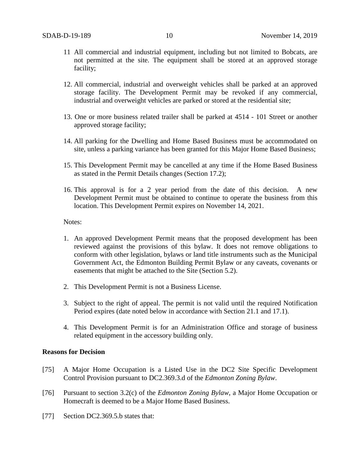- 11 All commercial and industrial equipment, including but not limited to Bobcats, are not permitted at the site. The equipment shall be stored at an approved storage facility;
- 12. All commercial, industrial and overweight vehicles shall be parked at an approved storage facility. The Development Permit may be revoked if any commercial, industrial and overweight vehicles are parked or stored at the residential site;
- 13. One or more business related trailer shall be parked at 4514 101 Street or another approved storage facility;
- 14. All parking for the Dwelling and Home Based Business must be accommodated on site, unless a parking variance has been granted for this Major Home Based Business;
- 15. This Development Permit may be cancelled at any time if the Home Based Business as stated in the Permit Details changes (Section 17.2);
- 16. This approval is for a 2 year period from the date of this decision. A new Development Permit must be obtained to continue to operate the business from this location. This Development Permit expires on November 14, 2021.

#### Notes:

- 1. An approved Development Permit means that the proposed development has been reviewed against the provisions of this bylaw. It does not remove obligations to conform with other legislation, bylaws or land title instruments such as the Municipal Government Act, the Edmonton Building Permit Bylaw or any caveats, covenants or easements that might be attached to the Site (Section 5.2).
- 2. This Development Permit is not a Business License.
- 3. Subject to the right of appeal. The permit is not valid until the required Notification Period expires (date noted below in accordance with Section 21.1 and 17.1).
- 4. This Development Permit is for an Administration Office and storage of business related equipment in the accessory building only.

#### **Reasons for Decision**

- [75] A Major Home Occupation is a Listed Use in the DC2 Site Specific Development Control Provision pursuant to DC2.369.3.d of the *Edmonton Zoning Bylaw*.
- [76] Pursuant to section 3.2(c) of the *Edmonton Zoning Bylaw*, a Major Home Occupation or Homecraft is deemed to be a Major Home Based Business.
- [77] Section DC2.369.5.b states that: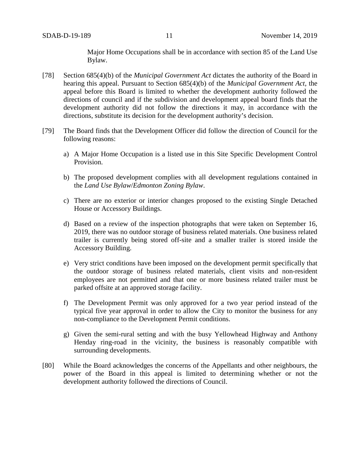Major Home Occupations shall be in accordance with section 85 of the Land Use Bylaw.

- [78] Section 685(4)(b) of the *Municipal Government Act* dictates the authority of the Board in hearing this appeal. Pursuant to Section 685(4)(b) of the *Municipal Government Act,* the appeal before this Board is limited to whether the development authority followed the directions of council and if the subdivision and development appeal board finds that the development authority did not follow the directions it may, in accordance with the directions, substitute its decision for the development authority's decision.
- [79] The Board finds that the Development Officer did follow the direction of Council for the following reasons:
	- a) A Major Home Occupation is a listed use in this Site Specific Development Control Provision.
	- b) The proposed development complies with all development regulations contained in the *Land Use Bylaw*/*Edmonton Zoning Bylaw*.
	- c) There are no exterior or interior changes proposed to the existing Single Detached House or Accessory Buildings.
	- d) Based on a review of the inspection photographs that were taken on September 16, 2019, there was no outdoor storage of business related materials. One business related trailer is currently being stored off-site and a smaller trailer is stored inside the Accessory Building.
	- e) Very strict conditions have been imposed on the development permit specifically that the outdoor storage of business related materials, client visits and non-resident employees are not permitted and that one or more business related trailer must be parked offsite at an approved storage facility.
	- f) The Development Permit was only approved for a two year period instead of the typical five year approval in order to allow the City to monitor the business for any non-compliance to the Development Permit conditions.
	- g) Given the semi-rural setting and with the busy Yellowhead Highway and Anthony Henday ring-road in the vicinity, the business is reasonably compatible with surrounding developments.
- [80] While the Board acknowledges the concerns of the Appellants and other neighbours, the power of the Board in this appeal is limited to determining whether or not the development authority followed the directions of Council.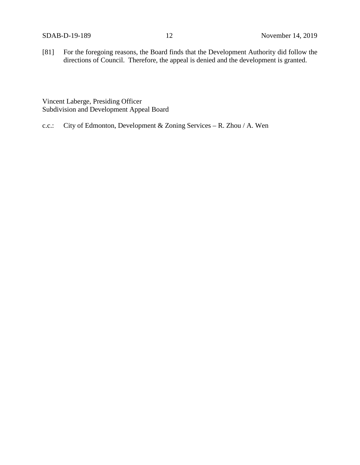[81] For the foregoing reasons, the Board finds that the Development Authority did follow the directions of Council. Therefore, the appeal is denied and the development is granted.

Vincent Laberge, Presiding Officer Subdivision and Development Appeal Board

c.c.: City of Edmonton, Development & Zoning Services – R. Zhou / A. Wen